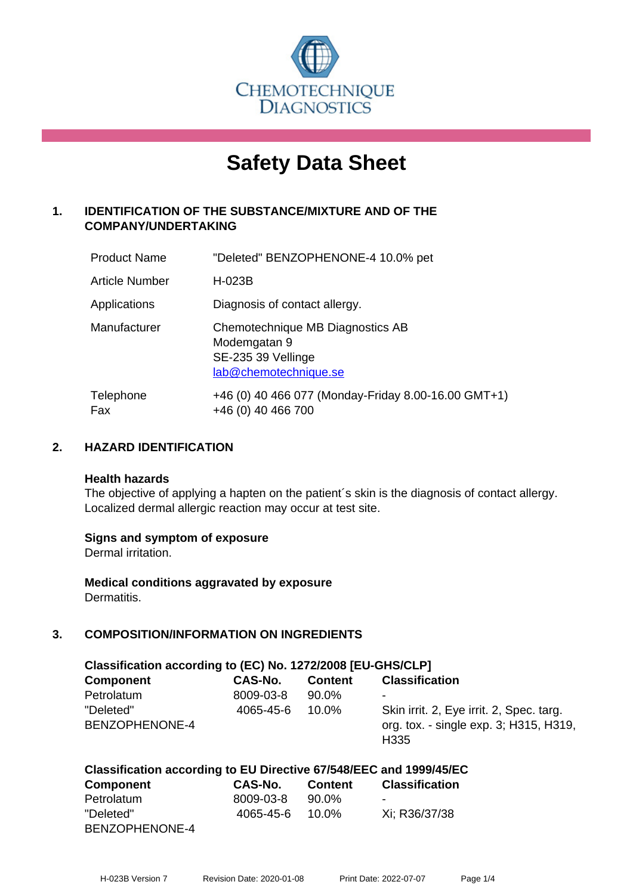

# **Safety Data Sheet**

# **1. IDENTIFICATION OF THE SUBSTANCE/MIXTURE AND OF THE COMPANY/UNDERTAKING**

| <b>Product Name</b> | "Deleted" BENZOPHENONE-4 10.0% pet                                                              |
|---------------------|-------------------------------------------------------------------------------------------------|
| Article Number      | H-023B                                                                                          |
| Applications        | Diagnosis of contact allergy.                                                                   |
| Manufacturer        | Chemotechnique MB Diagnostics AB<br>Modemgatan 9<br>SE-235 39 Vellinge<br>lab@chemotechnique.se |
| Telephone<br>Fax    | +46 (0) 40 466 077 (Monday-Friday 8.00-16.00 GMT+1)<br>+46 (0) 40 466 700                       |

# **2. HAZARD IDENTIFICATION**

#### **Health hazards**

The objective of applying a hapten on the patient's skin is the diagnosis of contact allergy. Localized dermal allergic reaction may occur at test site.

#### **Signs and symptom of exposure**

Dermal irritation.

**Medical conditions aggravated by exposure** Dermatitis.

# **3. COMPOSITION/INFORMATION ON INGREDIENTS**

| Classification according to (EC) No. 1272/2008 [EU-GHS/CLP] |           |                |                                                                                                        |  |
|-------------------------------------------------------------|-----------|----------------|--------------------------------------------------------------------------------------------------------|--|
| <b>Component</b>                                            | CAS-No.   | <b>Content</b> | <b>Classification</b>                                                                                  |  |
| Petrolatum                                                  | 8009-03-8 | 90.0%          | ۰                                                                                                      |  |
| "Deleted"<br>BENZOPHENONE-4                                 | 4065-45-6 | $10.0\%$       | Skin irrit. 2, Eye irrit. 2, Spec. targ.<br>org. tox. - single exp. 3; H315, H319,<br>H <sub>335</sub> |  |

# **Classification according to EU Directive 67/548/EEC and 1999/45/EC**

| <b>Component</b> | CAS-No.   | <b>Content</b> | <b>Classification</b> |
|------------------|-----------|----------------|-----------------------|
| Petrolatum       | 8009-03-8 | 90.0%          | $\blacksquare$        |
| "Deleted"        | 4065-45-6 | 10.0%          | Xi: R36/37/38         |
| BENZOPHENONE-4   |           |                |                       |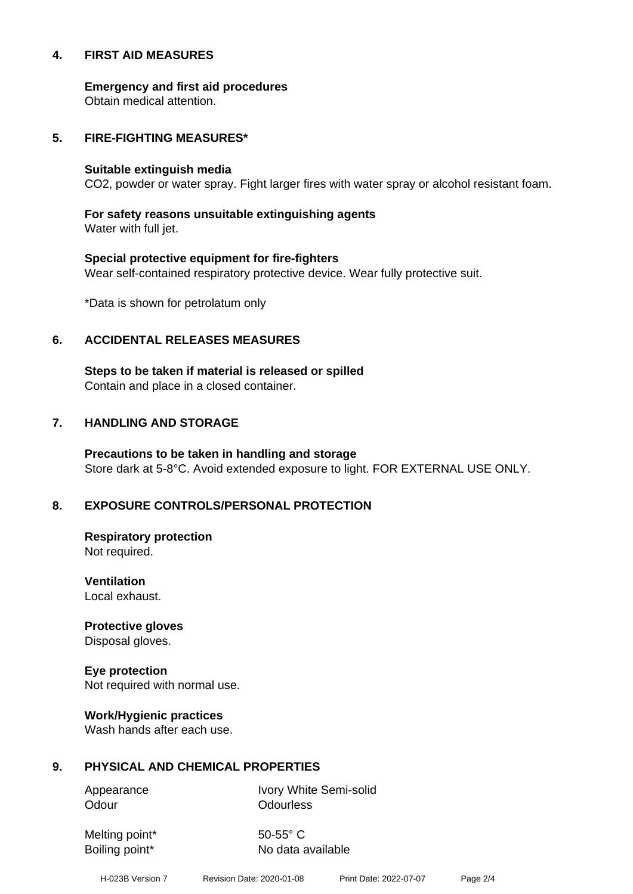#### **4. FIRST AID MEASURES**

**Emergency and first aid procedures**

Obtain medical attention.

#### **5. FIRE-FIGHTING MEASURES\***

#### **Suitable extinguish media**

CO2, powder or water spray. Fight larger fires with water spray or alcohol resistant foam.

# **For safety reasons unsuitable extinguishing agents**

Water with full jet.

# **Special protective equipment for fire-fighters** Wear self-contained respiratory protective device. Wear fully protective suit.

\*Data is shown for petrolatum only

# **6. ACCIDENTAL RELEASES MEASURES**

**Steps to be taken if material is released or spilled** Contain and place in a closed container.

# **7. HANDLING AND STORAGE**

**Precautions to be taken in handling and storage** Store dark at 5-8°C. Avoid extended exposure to light. FOR EXTERNAL USE ONLY.

# **8. EXPOSURE CONTROLS/PERSONAL PROTECTION**

**Respiratory protection** Not required.

**Ventilation** Local exhaust.

**Protective gloves** Disposal gloves.

# **Eye protection**

Not required with normal use.

#### **Work/Hygienic practices**

Wash hands after each use.

#### **9. PHYSICAL AND CHEMICAL PROPERTIES**

Odour **Odourless** 

Appearance Ivory White Semi-solid

Melting point\* 50-55° C

Boiling point\* No data available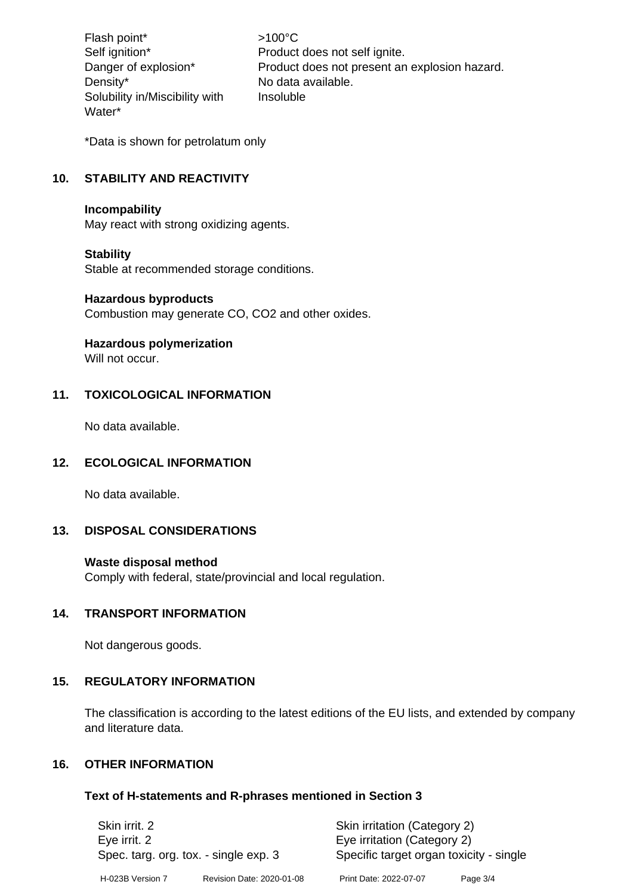Flash point\* >100°C Density\* No data available. Solubility in/Miscibility with Water\*

Self ignition\* Product does not self ignite. Danger of explosion\* Product does not present an explosion hazard. Insoluble

\*Data is shown for petrolatum only

# **10. STABILITY AND REACTIVITY**

#### **Incompability**

May react with strong oxidizing agents.

#### **Stability**

Stable at recommended storage conditions.

#### **Hazardous byproducts**

Combustion may generate CO, CO2 and other oxides.

#### **Hazardous polymerization**

Will not occur.

# **11. TOXICOLOGICAL INFORMATION**

No data available.

#### **12. ECOLOGICAL INFORMATION**

No data available.

#### **13. DISPOSAL CONSIDERATIONS**

#### **Waste disposal method**

Comply with federal, state/provincial and local regulation.

#### **14. TRANSPORT INFORMATION**

Not dangerous goods.

#### **15. REGULATORY INFORMATION**

The classification is according to the latest editions of the EU lists, and extended by company and literature data.

#### **16. OTHER INFORMATION**

#### **Text of H-statements and R-phrases mentioned in Section 3**

| Skin irrit. 2<br>Eye irrit. 2<br>Spec. targ. org. tox. - single exp. 3 |                           | Skin irritation (Category 2)<br>Eye irritation (Category 2)<br>Specific target organ toxicity - single |          |
|------------------------------------------------------------------------|---------------------------|--------------------------------------------------------------------------------------------------------|----------|
| H-023B Version 7                                                       | Revision Date: 2020-01-08 | Print Date: 2022-07-07                                                                                 | Page 3/4 |